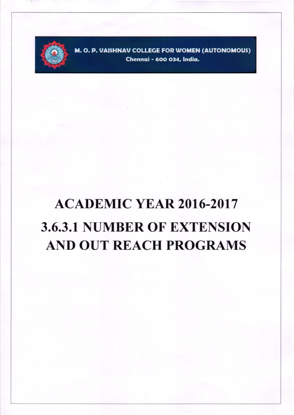

M. O. P. VAISHNAV COLLEGE FOR WOMEN (AUTONOMOUS) Chennai - 600 034, India.

## **ACADEMIC YEAR 2016-2017 3.6.3.1 NUMBER OF EXTENSION AND OUT REACH PROGRAMS**